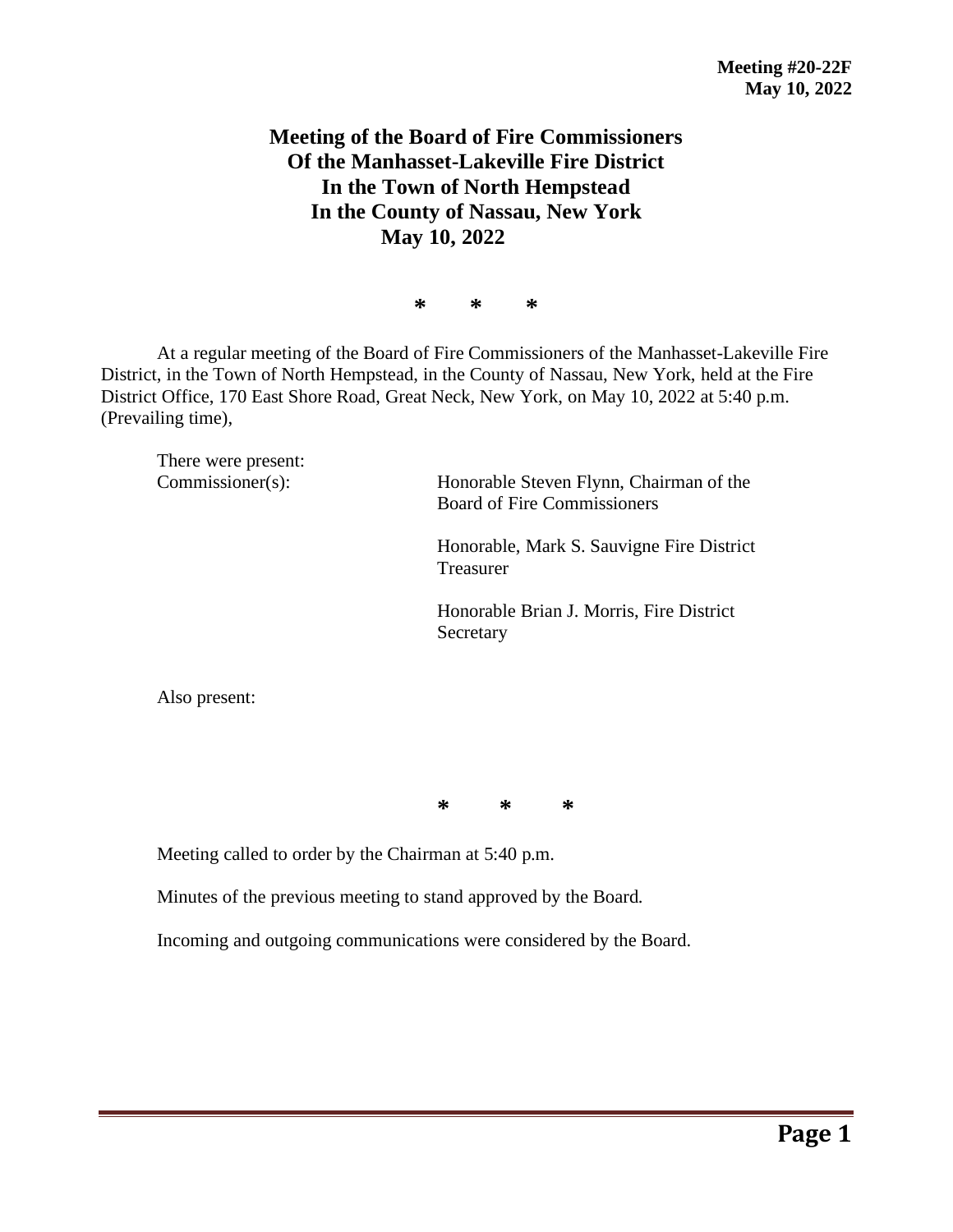## **Meeting of the Board of Fire Commissioners Of the Manhasset-Lakeville Fire District In the Town of North Hempstead In the County of Nassau, New York May 10, 2022**

**\* \* \***

At a regular meeting of the Board of Fire Commissioners of the Manhasset-Lakeville Fire District, in the Town of North Hempstead, in the County of Nassau, New York, held at the Fire District Office, 170 East Shore Road, Great Neck, New York, on May 10, 2022 at 5:40 p.m. (Prevailing time),

There were present:

Commissioner(s): Honorable Steven Flynn, Chairman of the Board of Fire Commissioners

> Honorable, Mark S. Sauvigne Fire District Treasurer

Honorable Brian J. Morris, Fire District Secretary

Also present:

**\* \* \***

Meeting called to order by the Chairman at 5:40 p.m.

Minutes of the previous meeting to stand approved by the Board.

Incoming and outgoing communications were considered by the Board.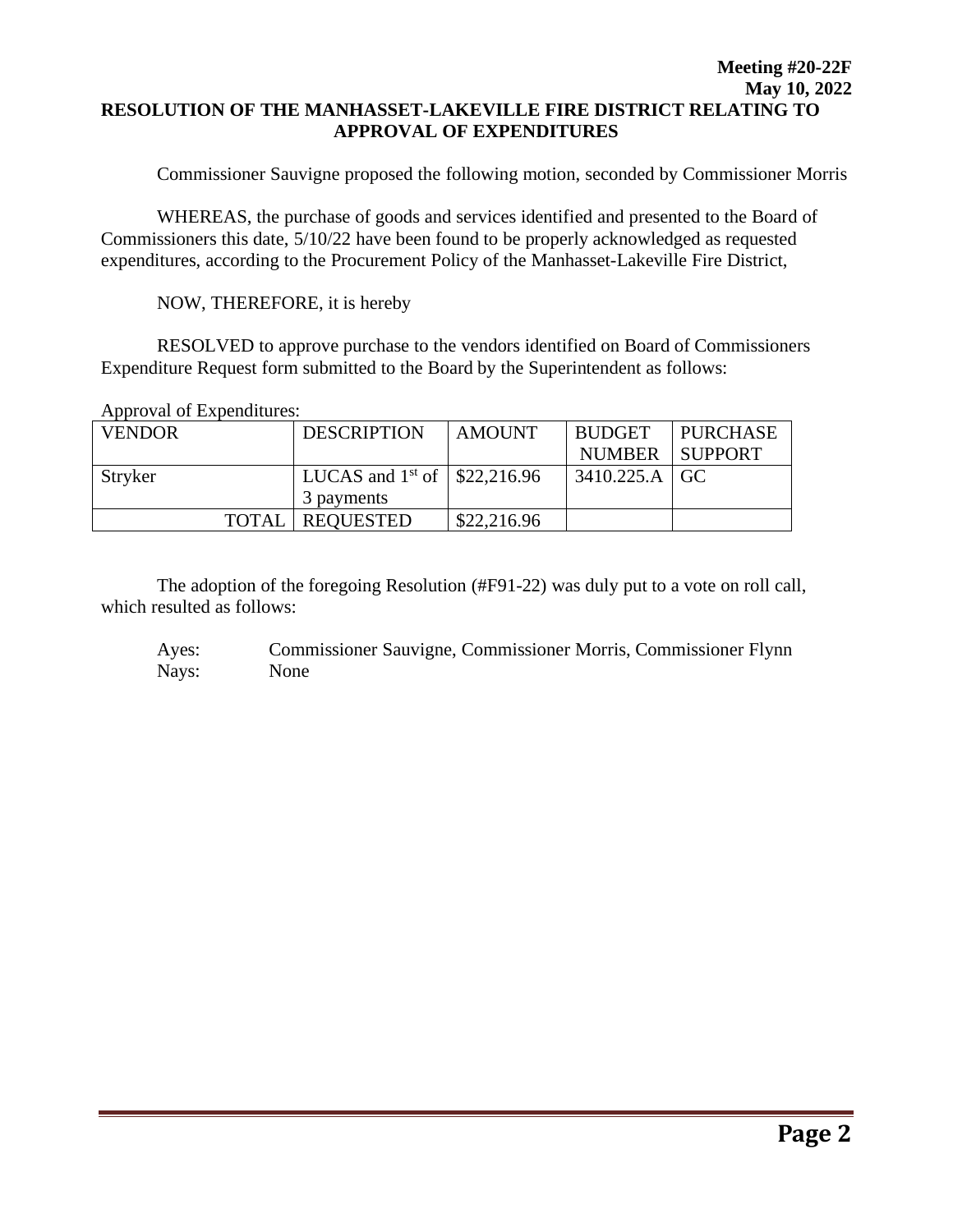## **Meeting #20-22F May 10, 2022 RESOLUTION OF THE MANHASSET-LAKEVILLE FIRE DISTRICT RELATING TO APPROVAL OF EXPENDITURES**

Commissioner Sauvigne proposed the following motion, seconded by Commissioner Morris

WHEREAS, the purchase of goods and services identified and presented to the Board of Commissioners this date, 5/10/22 have been found to be properly acknowledged as requested expenditures, according to the Procurement Policy of the Manhasset-Lakeville Fire District,

NOW, THEREFORE, it is hereby

RESOLVED to approve purchase to the vendors identified on Board of Commissioners Expenditure Request form submitted to the Board by the Superintendent as follows:

Approval of Expenditures:

| <b>VENDOR</b> |              | <b>DESCRIPTION</b>                  | <b>AMOUNT</b> | <b>BUDGET</b>   | <b>PURCHASE</b> |
|---------------|--------------|-------------------------------------|---------------|-----------------|-----------------|
|               |              |                                     |               | NUMBER SUPPORT  |                 |
| Stryker       |              | LUCAS and $1^{st}$ of   \$22,216.96 |               | $3410.225.A$ GC |                 |
|               |              | 3 payments                          |               |                 |                 |
|               | <b>TOTAL</b> | <b>REQUESTED</b>                    | \$22,216.96   |                 |                 |

The adoption of the foregoing Resolution (#F91-22) was duly put to a vote on roll call, which resulted as follows:

Ayes: Commissioner Sauvigne, Commissioner Morris, Commissioner Flynn Nays: None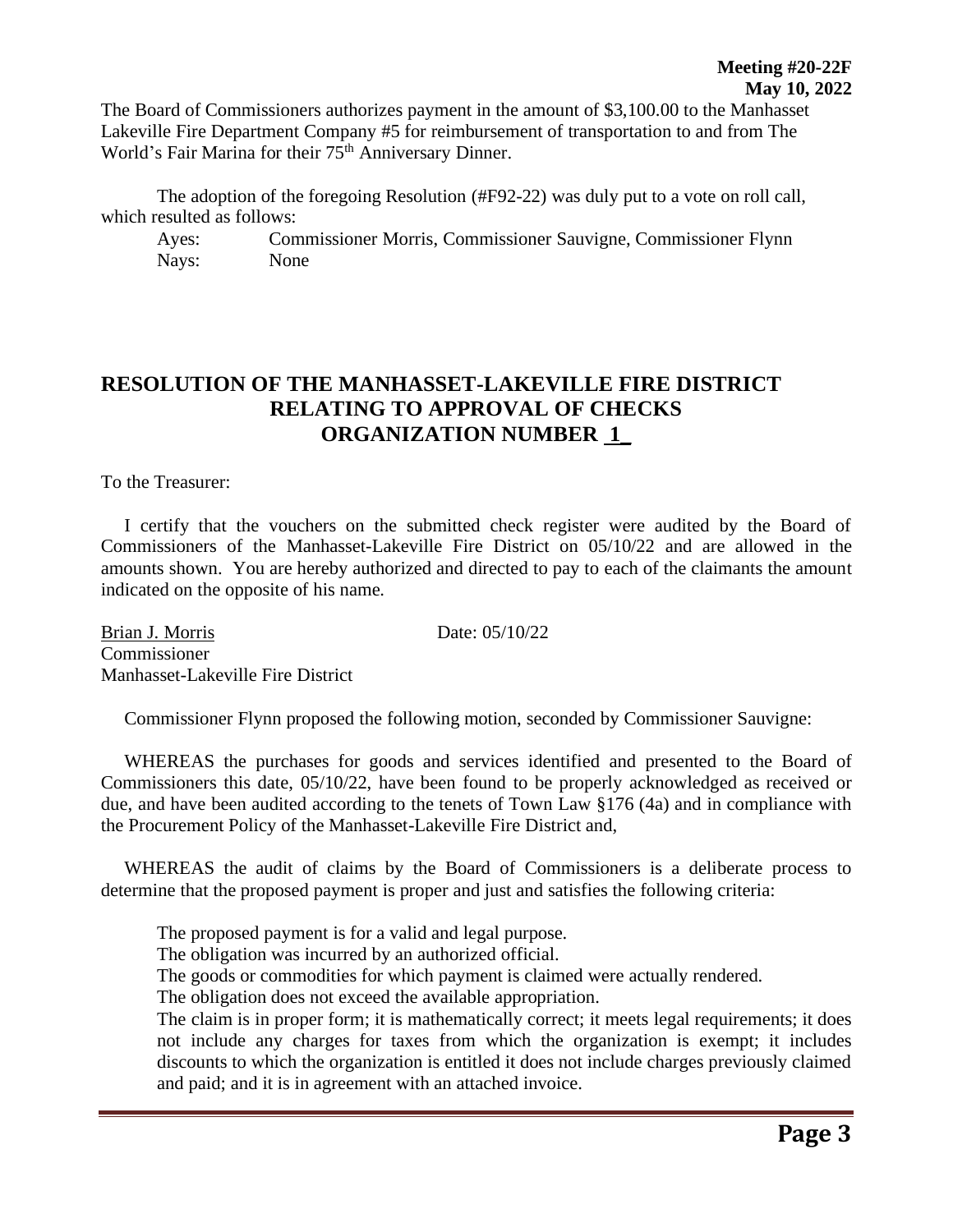The Board of Commissioners authorizes payment in the amount of \$3,100.00 to the Manhasset Lakeville Fire Department Company #5 for reimbursement of transportation to and from The World's Fair Marina for their 75<sup>th</sup> Anniversary Dinner.

The adoption of the foregoing Resolution (#F92-22) was duly put to a vote on roll call, which resulted as follows:

Ayes: Commissioner Morris, Commissioner Sauvigne, Commissioner Flynn Nays: None

## **RESOLUTION OF THE MANHASSET-LAKEVILLE FIRE DISTRICT RELATING TO APPROVAL OF CHECKS ORGANIZATION NUMBER 1\_**

To the Treasurer:

 I certify that the vouchers on the submitted check register were audited by the Board of Commissioners of the Manhasset-Lakeville Fire District on 05/10/22 and are allowed in the amounts shown. You are hereby authorized and directed to pay to each of the claimants the amount indicated on the opposite of his name.

Brian J. Morris Date: 05/10/22 Commissioner Manhasset-Lakeville Fire District

Commissioner Flynn proposed the following motion, seconded by Commissioner Sauvigne:

 WHEREAS the purchases for goods and services identified and presented to the Board of Commissioners this date, 05/10/22, have been found to be properly acknowledged as received or due, and have been audited according to the tenets of Town Law §176 (4a) and in compliance with the Procurement Policy of the Manhasset-Lakeville Fire District and,

 WHEREAS the audit of claims by the Board of Commissioners is a deliberate process to determine that the proposed payment is proper and just and satisfies the following criteria:

The proposed payment is for a valid and legal purpose.

The obligation was incurred by an authorized official.

The goods or commodities for which payment is claimed were actually rendered.

The obligation does not exceed the available appropriation.

The claim is in proper form; it is mathematically correct; it meets legal requirements; it does not include any charges for taxes from which the organization is exempt; it includes discounts to which the organization is entitled it does not include charges previously claimed and paid; and it is in agreement with an attached invoice.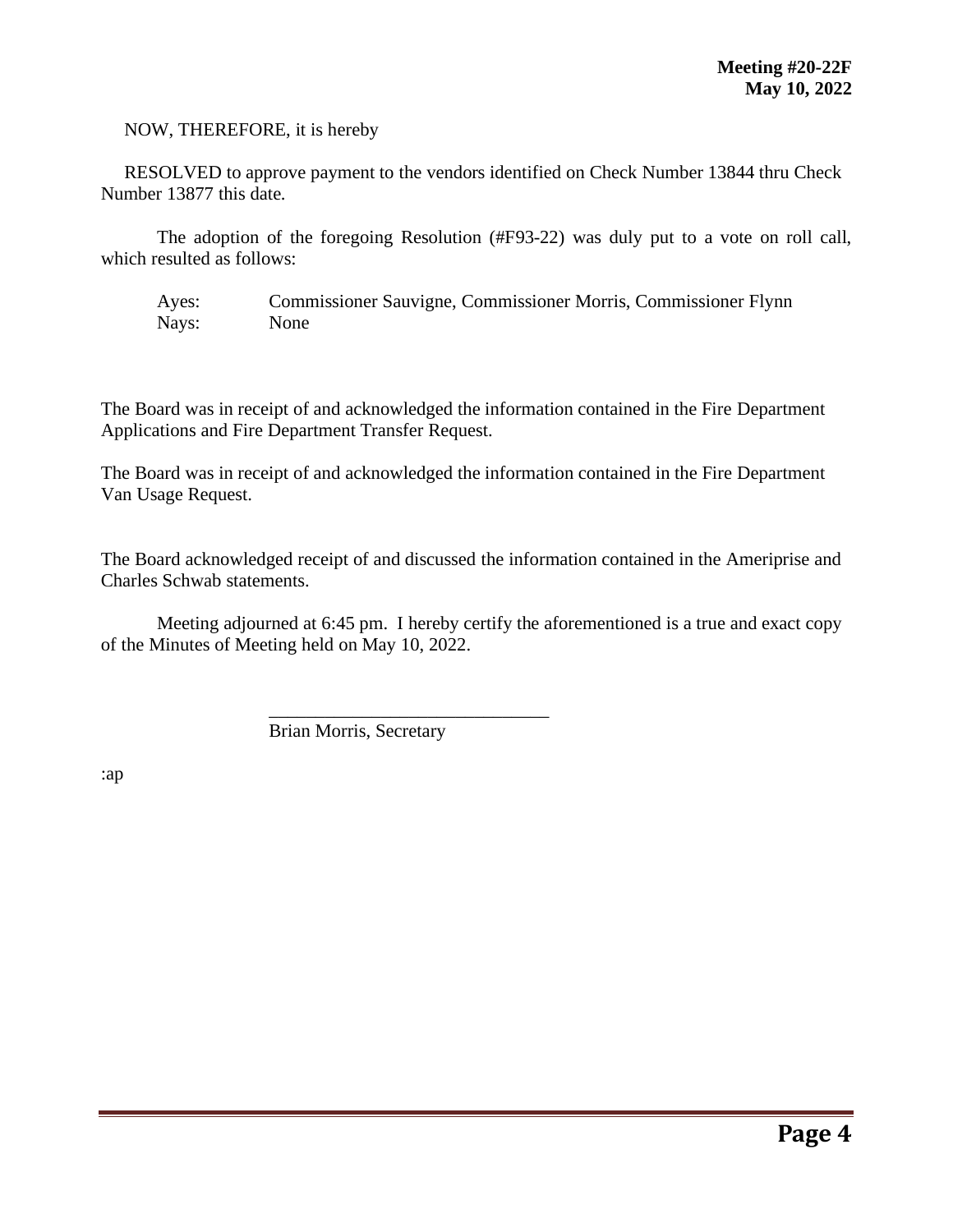NOW, THEREFORE, it is hereby

 RESOLVED to approve payment to the vendors identified on Check Number 13844 thru Check Number 13877 this date.

The adoption of the foregoing Resolution (#F93-22) was duly put to a vote on roll call, which resulted as follows:

Ayes: Commissioner Sauvigne, Commissioner Morris, Commissioner Flynn Nays: None

The Board was in receipt of and acknowledged the information contained in the Fire Department Applications and Fire Department Transfer Request.

The Board was in receipt of and acknowledged the information contained in the Fire Department Van Usage Request.

The Board acknowledged receipt of and discussed the information contained in the Ameriprise and Charles Schwab statements.

Meeting adjourned at 6:45 pm. I hereby certify the aforementioned is a true and exact copy of the Minutes of Meeting held on May 10, 2022.

Brian Morris, Secretary

\_\_\_\_\_\_\_\_\_\_\_\_\_\_\_\_\_\_\_\_\_\_\_\_\_\_\_\_\_\_

:ap